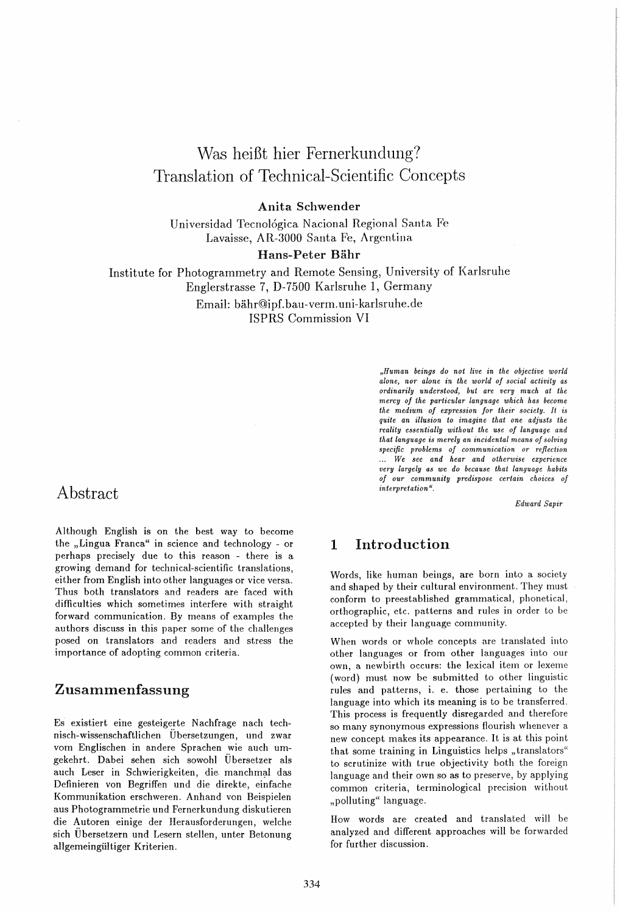# Was heiBt hier Fernerkundung? Translation of Technical-Scientific Concepts

#### Anita Schwender

Universidad Tecno16gica Nacional Regional Santa Fe Lavaisse, AR-3000 Santa Fe, Argentina

#### Hans-Peter Bähr

Institute for Photogrammetry and Remote Sensing, University of Karlsruhe Englerstrasse 7, D-7500 Karlsruhe 1, Germany

Email: bahr@ipf.bau-verm.uni-karlsruhe.de ISPRS Commission VI

> *"Human beings do not live in the objective world alone, nor alone in the world of social activity as ordinarily understood, but are very much at the mercy of the particular language which has become the medium of expression for their society.* It *is quite an illusion to imagine that one adjusts the reality essentially without the use of language and that language is merely an incidental means of solving specific problems of communication or reflection*  ... We *see and hear and otherwise experience very largely as we do because that language habits of our community predispose certain choices of interpretation* ".

> > *Edward Sapir*

### Abstract

Although English is on the best way to become the "Lingua Franca" in science and technology - or perhaps precisely due to this reason - there is a growing demand for technical-scientific translations, either from English into other languages or vice versa. Thus both translators and readers are faced with difficulties which sometimes interfere with straight forward communication. By means of examples the authors discuss in this paper some of the challenges posed on translators and readers and stress the importance of adopting common criteria.

### Zusammenfassung

Es existiert eine gesteigerte N achfrage nach technisch-wissenschaftlichen Ubersetzungen, und zwar vom Englischen in andere Sprachen wie auch umgekehrt. Dabei sehen sich sowohl Ubersetzer als auch Leser in Schwierigkeiten, die manchmal das Definieren von Begriffen und die direkte, einfache Kommunikation erschweren. Anhand von Beispielen aus Photogrammetrie und Fernerkundung diskutieren die Autoren einige der Herausforderungen, welche sich Ubersetzern und Lesern stellen, unter Betonung allgemeingültiger Kriterien.

### 1 Introduction

Words, like human beings, are born into a society and shaped by their cultural environment. They must conform to preestablished grammatical, phonetical, orthographic, etc. patterns and rules in order to be accepted by their language community.

When words or whole concepts are translated into other languages or from other languages into our own, a newbirth occurs: the lexical item or lexeme (word) must now be submitted to other linguistic rules and patterns, i. e. those pertaining to the language into which its meaning is to be transferred. This process is frequently disregarded and therefore so many synonymous expressions flourish whenever a new concept makes its appearance. It is at this point that some training in Linguistics helps "translators" to scrutinize with true objectivity both the foreign language and their own so as to preserve, by applying common criteria, terminological precision without "polluting" language.

How words are created and translated will be analyzed and different approaches will be forwarded for further discussion.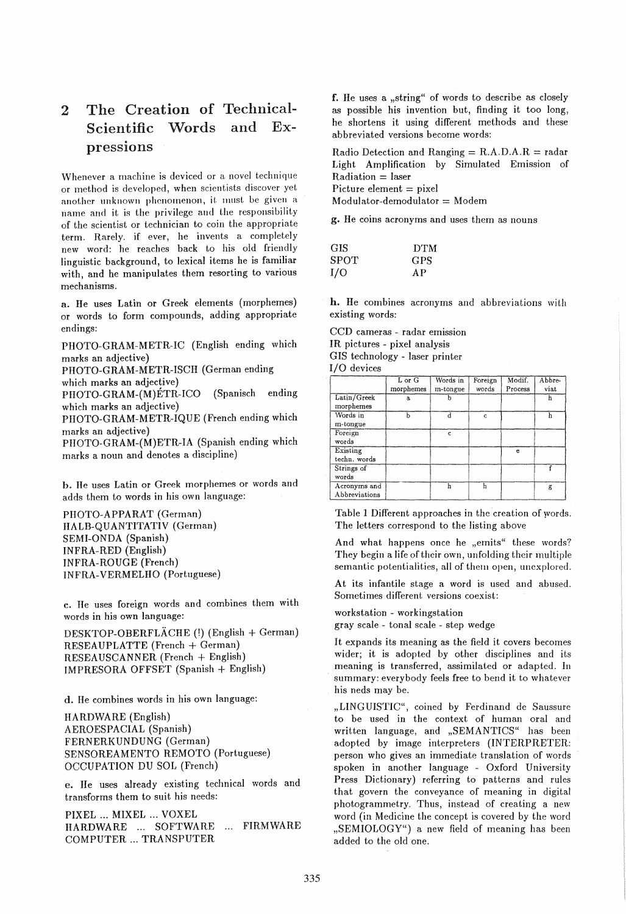## 2 The Creation of Technical-Scientific Words and Expressions

Whenever a machine is deviced or a novel technique or method is developed, when scientists discover yet another unknown phenomenon, it must be given a name and it is the privilege and the responsibility of the scientist or technician to coin the appropriate term. Rarely. if ever, he invents a completely new word: he reaches back to his old friendly linguistic background, to lexical items he is familiar with, and he manipulates them resorting to various mechanisms.

a. He uses Latin or Greek elements (morphemes) or words to form compounds, adding appropriate endings:

PHOTO-GRAM-METR-IC (English ending which marks an adjective)

PHOTO-GRAM-METR-ISCH (German ending

which marks an adjective)

PIIOTO-GRAM-(M)ETR-ICO (Spanisch ending which marks an adjective)

PHOTO-GRAM-METR-IQUE (French ending which marks an adjective)

PHOTO-GRAM-(M)ETR-IA (Spanish ending which marks a noun and denotes a discipline)

h. He uses Latin or Greek morphemes or words and adds them to words in his own language:

PHOTO-APPARAT (German) HALB-QUANTITATIV (German) SEMI-ONDA (Spanish) INFRA-RED (English) INFRA-ROUGE (French) INFRA-VERMELHO (Portuguese)

c. He uses foreign words and combines them with words in his own language:

DESKTOP-OBERFLACHE (!) (English + German) RESEAUPLATTE (French + German) RESEAUSCANNER (French + English) IMPRESORA OFFSET (Spanish + English)

d. He combines words in his own language:

HARDWARE (English) AEROESPACIAL (Spanish) FERNERKUNDUNG (German) SENSOREAMENTO REMOTO (Portuguese) OCCUPATION DU SOL (French)

e. lIe uses already existing technical words and transforms them to suit his needs:

PIXEL ... MIXEL ... VOXEL HARDWARE ... SOFTWARE ... FIRMWARE COMPUTER ... TRANSPUTER

f. He uses a "string" of words to describe as closely as possible his invention but, finding it too long, he shortens it using different methods and these abbreviated versions become words:

Radio Detection and Ranging  $= R.A.D.A.R = radar$ Light Amplification by Simulated Emission of  $Radion = laser$ Picture element  $=$  pixel  $Modulator$ -demodulator = Modem

g. He coins acronyms and uses them as nouns

| <b>GIS</b> | <b>DTM</b> |
|------------|------------|
| SPOT       | <b>GPS</b> |
| I/O        | A P        |

h. He combines acronyms and abbreviations with existing words:

CCD cameras - radar emission IR pictures - pixel analysis GIS technology - laser printer I/O devices

|                               | L or G    | Words in | Foreign | Modif.  | Abbre- |
|-------------------------------|-----------|----------|---------|---------|--------|
|                               | morphemes | m-tongue | words   | Process | viat   |
| Latin/Greek<br>morphemes      | a.        |          |         |         | h      |
| Words in<br>m-tongue          | h         |          | c       |         |        |
| Foreign<br>words              |           | c        |         |         |        |
| Existing<br>techn. words      |           |          |         | e       |        |
| Strings of<br>words           |           |          |         |         |        |
| Acronyms and<br>Abbreviations |           |          | h       |         | g      |

Table 1 Different approaches in the creation of words. The letters correspond to the listing above

And what happens once he "emits" these words? They begin a life of their own, unfolding their multiple semantic potentialities, all of them open, unexplored.

At its infantile stage a word is used and abused. Sometimes different versions coexist:

workstation - workingstation

gray scale - tonal scale - step wedge

It expands its meaning as the field it covers becomes wider; it is adopted by other disciplines and its meaning is transferred, assimilated or adapted. In summary: everybody feels free to bend it to whatever his neds may be.

"LINGUISTIC", coined by Ferdinand de Saussure to be used in the context of human oral and written language, and "SEMANTICS" has been adopted by image interpreters (INTERPRETER: person who gives an immediate translation of words spoken in another language - Oxford University Press Dictionary) referring to patterns and rules that govern the conveyance of meaning in digital photogrammetry. Thus, instead of creating a new word (in Medicine the concept is covered by the word "SEMIOLOGY") a new field of meaning has been added to the old one.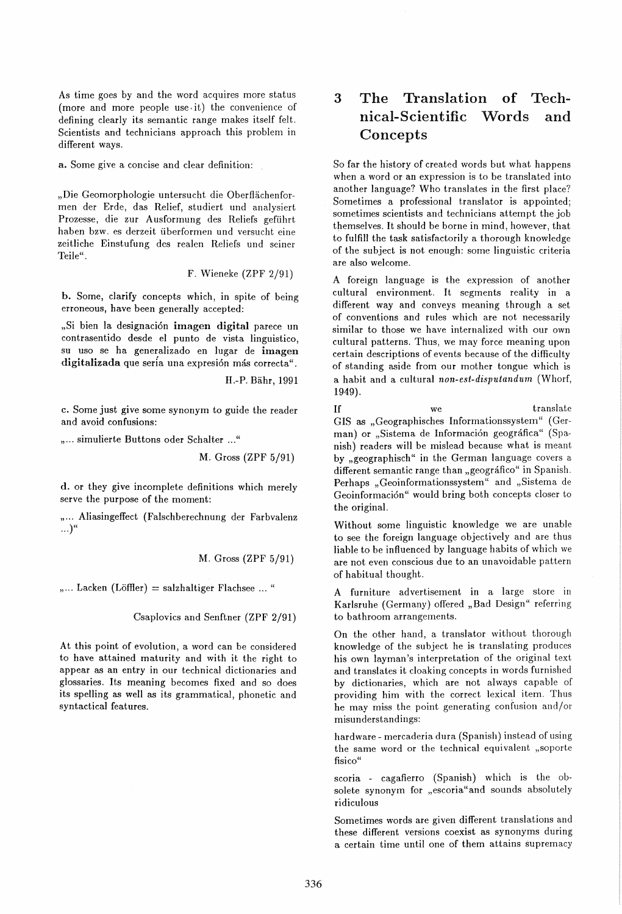As time goes by and the word acquires more status (more and more people use· it) the convenience of defining clearly its semantic range makes itself felt. Scientists and technicians approach this problem in different ways.

a. Some give a concise and clear definition:

"Die Geomorphologie untersucht die Oberflächenformen der Erde, das Relief, studiert und analysiert Prozesse, die zur Ausformung des Reliefs gefiihrt haben bzw. es derzeit iiberformen und versucht eine zeitliche Einstufung des realen Reliefs und seiner Teile".

F. Wieneke (ZPF 2/91)

b. Some, clarify concepts which, in spite of being erroneous, have been generally accepted:

"Si bien la designación imagen digital parece un contrasentido desde el punto de vista linguistico, su uso se ha generalizado en lugar de imagen digitalizada que sería una expresión más correcta".

H.-P. Bähr, 1991

c. Some just give some synonym to guide the reader and avoid confusions:

"... simulierte Buttons oder Schalter ..."

M. Gross (ZPF 5/91)

d. or they give incomplete definitions which merely serve the purpose of the moment:

"... Aliasingeffect (Falschberechnung der Farbvalenz  $\ldots$ <sup>"</sup>

M. Gross (ZPF 5/91)

 $,...$  Lacken (Löffler) = salzhaltiger Flachsee ... "

Csaplovics and Senftner (ZPF 2/91)

At this point of evolution, a word can be considered to have attained maturity and with it the right to appear as an entry in our technical dictionaries and glossaries. Its meaning becomes fixed and so does its spelling as well as its grammatical, phonetic and syntactical features.

## 3 The Translation of Technical-Scientific Words and Concepts

So far the history of created words but what happens when a word or an expression is to be translated into another language? Who translates in the first place? Sometimes a professional translator is appointed; sometimes scientists and technicians attempt the job themselves. It should be borne in mind, however, that to fulfill the task satisfactorily a thorough knowledge of the subject is not enough: some linguistic criteria are also welcome.

A foreign language is the expression of another cultural environment. It segments reality in a different way and conveys meaning through a set of conventions and rules which are not necessarily similar to those we have internalized with our own cultural patterns. Thus, we may force meaning upon certain descriptions of events because of the difficulty of standing aside from our mother tongue which is a habit and a cultural *non-est-disputandurn* (Whorf, 1949).

If we translate GIS as "Geographisches Informationssystem" (German) or "Sistema de Información geográfica" (Spanish) readers will be mislead because what is meant by "geographisch" in the German language covers a different semantic range than "geográfico" in Spanish. Perhaps "Geoinformationssystem" and "Sistema de Geoinformación" would bring both concepts closer to the original.

Without some linguistic knowledge we are unable to see the foreign language objectively and are thus liable to be influenced by language habits of which we are not even conscious due to an unavoidable pattern of habitual thought.

A furniture advertisement in a large store in Karlsruhe (Germany) offered "Bad Design" referring to bathroom arrangements.

On the other hand, a translator without thorough knowledge of the subject he is translating produces his own layman's interpretation of the original text and translates it cloaking concepts in words furnished by dictionaries, which are not always capable of providing him with the correct lexical item. Thus he may miss the point generating confusion and/or misunderstandings:

hardware - mercaderia dura (Spanish) instead of using the same word or the technical equivalent "soporte fisico"

scoria - cagafierro (Spanish) which is the obsolete synonym for "escoria" and sounds absolutely ridiculous

Sometimes words are given different translations and these different versions coexist as synonyms during a certain time until one of them attains supremacy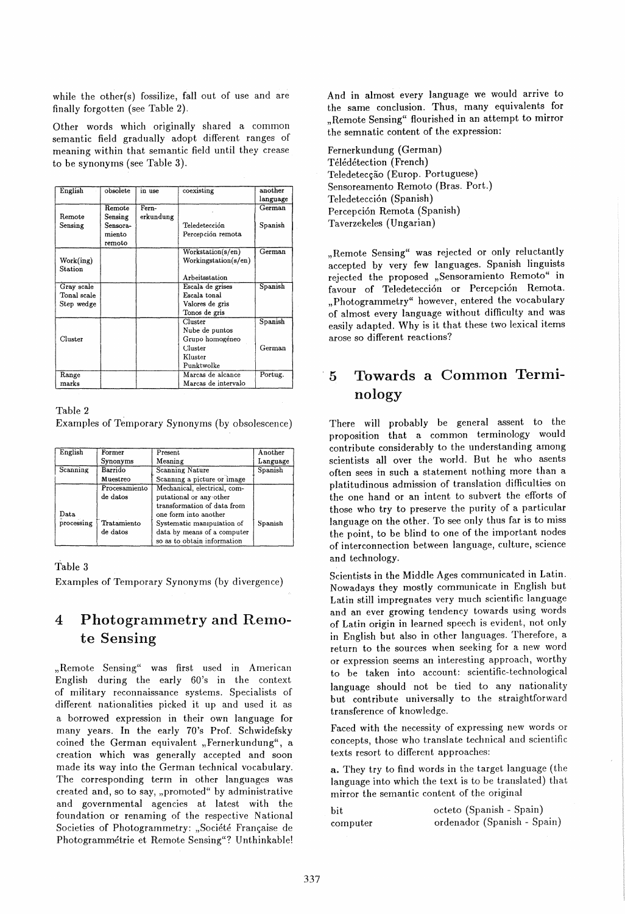while the other(s) fossilize, fall out of use and are finally forgotten (see Table 2).

Other words which originally shared a common semantic field gradually adopt different ranges of meaning within that semantic field until they crease to be synonyms (see Table 3).

| English                                 | obsolete                                | in use             | coexisting                                                                       | another<br>language |
|-----------------------------------------|-----------------------------------------|--------------------|----------------------------------------------------------------------------------|---------------------|
| Remote<br>Sensing                       | Remote<br>Sensing<br>Sensora-<br>miento | Fern-<br>erkundung | Teledetección<br>Percepción remota                                               | German<br>Spanish   |
| Work(ing)<br><b>Station</b>             | remoto                                  |                    | Workstation(s/en)<br>Workingstation(s/en)<br>Arbeitsstation                      | German              |
| Gray scale<br>Tonal scale<br>Step wedge |                                         |                    | Escala de grises<br>Escala tonal<br>Valores de gris<br>Tonos de gris             | Spanish             |
| Cluster                                 |                                         |                    | Cluster<br>Nube de puntos<br>Grupo homogéneo<br>Cluster<br>Kluster<br>Punktwolke | Spanish<br>German   |
| Range<br>marks                          |                                         |                    | Marcas de alcance<br>Marcas de intervalo                                         | Portug.             |

Table 2

Examples of Temporary Synonyms (by obsolescence)

| English       | Former        | Present                      | Another  |
|---------------|---------------|------------------------------|----------|
|               | Synonyms      | Meaning                      | Language |
| Scanning      | Barrido       | <b>Scanning Nature</b>       | Spanish  |
|               | Muestreo      | Scanning a picture or image  |          |
|               | Procesamiento | Mechanical, electrical, com- |          |
|               | de datos      | putational or any other      |          |
|               |               | transformation of data from  |          |
| $_{\rm Data}$ |               | one form into another        |          |
| processing    | Tratamiento   | Systematic manipulation of   | Spanish  |
|               | de datos      | data by means of a computer  |          |
|               |               | so as to obtain information  |          |

#### Table 3

Examples of Temporary Synonyms (by divergence)

### 4 Photogrammetryand Remote Sensing

"Remote Sensing" was first used in American English during the early 60's in the context of military reconnaissance systems. Specialists of different nationalities picked it up and used it as a borrowed expression in their own language for many years. In the early 70's Prof. Schwidefsky coined the German equivalent "Fernerkundung", a creation which was generally accepted and soon made its way into the German technical vocabulary. The corresponding term in other languages was created and, so to say, "promoted" by administrative and governmental agencies at latest with the foundation or renaming of the respective National Societies of Photogrammetry: "Société Française de Photogrammetrie et Remote Sensing"? Unthinkable!

And in almost every language we would arrive to the same conclusion. Thus, many equivalents for "Remote Sensing" flourished in an attempt to mirror the semnatic content of the expression:

Fernerkundung (German) Télédétection (French) Teledetecção (Europ. Portuguese) Sensoreamento Remoto (Bras. Port.) Teledetección (Spanish) Percepci6n Remota (Spanish) Taverzekeles (Ungarian)

"Remote Sensing" was rejected or only reluctantly accepted by very few languages. Spanish linguists rejected the proposed "Sensoramiento Remoto" in favour of Teledetección or Percepción Remota. "Photogrammetry" however, entered the vocabulary of almost every language without difficulty and was easily adapted. Why is it that these two lexical items arose so different reactions?

## 5 Towards a Common Terminology

There will probably be general assent to the proposition that a common terminology would contribute considerably to the understanding among scientists all over the world. But he who asents often sees in such a statement nothing more than a platitudinous admission of translation difficulties on the one hand or an intent to subvert the efforts of those who try to preserve the purity of a particular language on the other. To see only thus far is to miss the point, to be blind to one of the important nodes of interconnection between language, culture, science and technology.

Scientists in the Middle Ages communicated in Latin. Nowadays they mostly communicate in English but Latin stilI impregnates very much scientific language and an ever growing tendency towards using words of Latin origin in learned speech is evident, not only in English but also in other languages. Therefore, a return to the sources when seeking for a new word or expression seems an interesting approach, worthy to be taken into account: scientific-technological language should not be tied to any nationality but contribute universally to the straightforward transference of knowledge.

Faced with the necessity of expressing new words or concepts, those who translate technical and scientific texts resort to different approaches:

a. They try to find words in the target language (the language into which the text is to be translated) that mirror the semantic content of the original

bit computer octeto (Spanish - Spain) ordenador (Spanish - Spain)